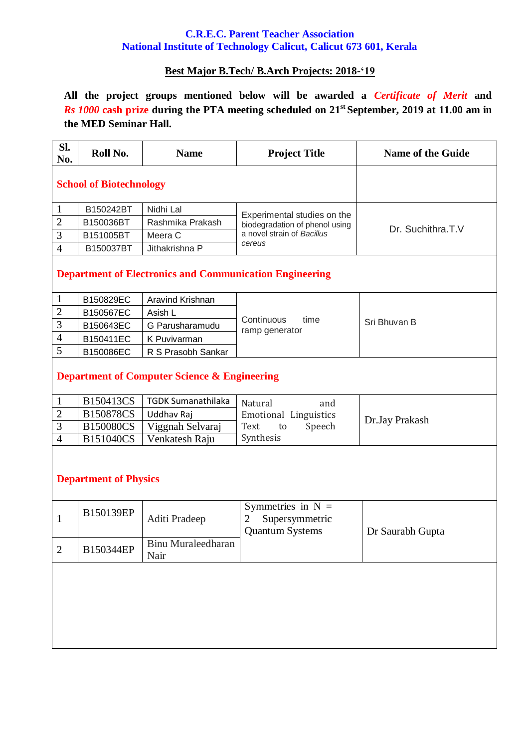## **C.R.E.C. Parent Teacher Association National Institute of Technology Calicut, Calicut 673 601, Kerala**

## **Best Major B.Tech/ B.Arch Projects: 2018-'19**

**All the project groups mentioned below will be awarded a** *Certificate of Merit* **and**  *Rs 1000* **cash prize during the PTA meeting scheduled on 21 st September, 2019 at 11.00 am in the MED Seminar Hall.**

| SI.<br>No.                                                     | Roll No.  | <b>Name</b>                       | <b>Project Title</b>                                                 | <b>Name of the Guide</b> |  |  |  |  |
|----------------------------------------------------------------|-----------|-----------------------------------|----------------------------------------------------------------------|--------------------------|--|--|--|--|
| <b>School of Biotechnology</b>                                 |           |                                   |                                                                      |                          |  |  |  |  |
| $\mathbf{1}$                                                   | B150242BT | Nidhi Lal                         |                                                                      | Dr. Suchithra.T.V        |  |  |  |  |
| $\overline{2}$                                                 | B150036BT | Rashmika Prakash                  | Experimental studies on the<br>biodegradation of phenol using        |                          |  |  |  |  |
| 3                                                              | B151005BT | Meera C                           | a novel strain of Bacillus                                           |                          |  |  |  |  |
| $\overline{4}$                                                 | B150037BT | Jithakrishna P                    | cereus                                                               |                          |  |  |  |  |
| <b>Department of Electronics and Communication Engineering</b> |           |                                   |                                                                      |                          |  |  |  |  |
| $\mathbf{1}$                                                   | B150829EC | Aravind Krishnan                  |                                                                      |                          |  |  |  |  |
| $\sqrt{2}$                                                     | B150567EC | Asish L                           | Continuous<br>time                                                   |                          |  |  |  |  |
| 3                                                              | B150643EC | G Parusharamudu                   | ramp generator                                                       | Sri Bhuvan B             |  |  |  |  |
| $\overline{4}$                                                 | B150411EC | K Puvivarman                      |                                                                      |                          |  |  |  |  |
| 5                                                              | B150086EC | R S Prasobh Sankar                |                                                                      |                          |  |  |  |  |
| <b>Department of Computer Science &amp; Engineering</b>        |           |                                   |                                                                      |                          |  |  |  |  |
| $\mathbf{1}$                                                   | B150413CS | <b>TGDK Sumanathilaka</b>         | Natural<br>and                                                       |                          |  |  |  |  |
| $\overline{2}$                                                 | B150878CS | Uddhav Raj                        | Emotional Linguistics                                                | Dr.Jay Prakash           |  |  |  |  |
| 3                                                              | B150080CS | Viggnah Selvaraj                  | Text<br>Speech<br>to                                                 |                          |  |  |  |  |
| $\overline{4}$                                                 | B151040CS | Venkatesh Raju                    | Synthesis                                                            |                          |  |  |  |  |
| <b>Department of Physics</b>                                   |           |                                   |                                                                      |                          |  |  |  |  |
| $\mathbf{1}$                                                   | B150139EP | Aditi Pradeep                     | Symmetries in $N =$<br>Supersymmetric<br>2<br><b>Quantum Systems</b> | Dr Saurabh Gupta         |  |  |  |  |
| $\overline{2}$                                                 | B150344EP | <b>Binu Muraleedharan</b><br>Nair |                                                                      |                          |  |  |  |  |
|                                                                |           |                                   |                                                                      |                          |  |  |  |  |